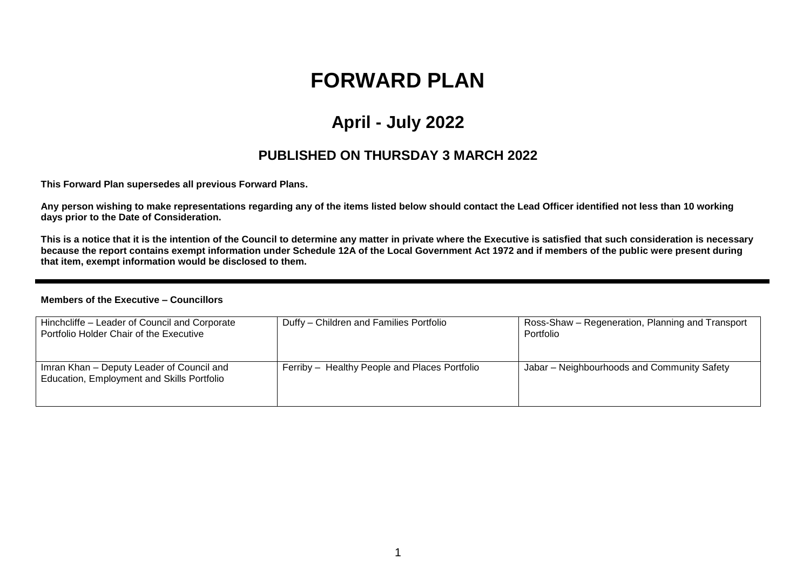# **FORWARD PLAN**

## **April - July 2022**

### **PUBLISHED ON THURSDAY 3 MARCH 2022**

**This Forward Plan supersedes all previous Forward Plans.**

**Any person wishing to make representations regarding any of the items listed below should contact the Lead Officer identified not less than 10 working days prior to the Date of Consideration.** 

**This is a notice that it is the intention of the Council to determine any matter in private where the Executive is satisfied that such consideration is necessary because the report contains exempt information under Schedule 12A of the Local Government Act 1972 and if members of the public were present during that item, exempt information would be disclosed to them.**

#### **Members of the Executive – Councillors**

| Hinchcliffe - Leader of Council and Corporate<br>Portfolio Holder Chair of the Executive | Duffy - Children and Families Portfolio       | Ross-Shaw – Regeneration, Planning and Transport<br>Portfolio |
|------------------------------------------------------------------------------------------|-----------------------------------------------|---------------------------------------------------------------|
| Imran Khan - Deputy Leader of Council and<br>Education, Employment and Skills Portfolio  | Ferriby - Healthy People and Places Portfolio | Jabar - Neighbourhoods and Community Safety                   |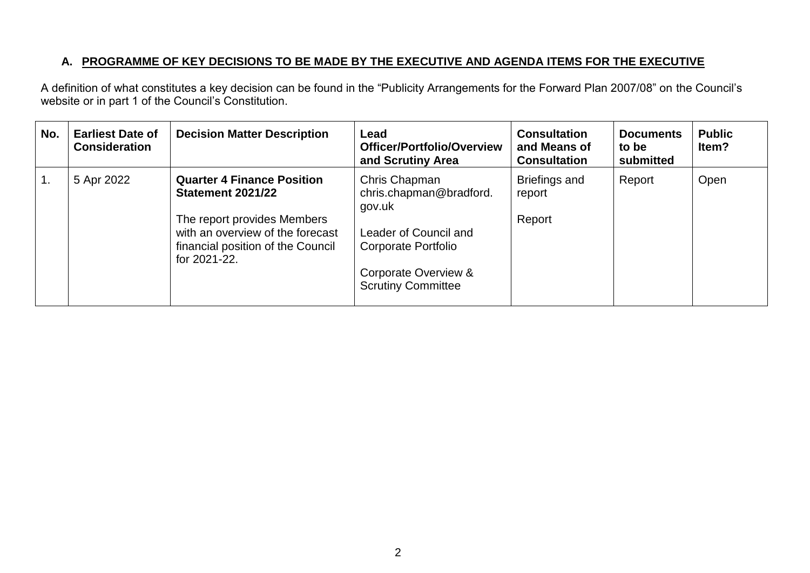#### **A. PROGRAMME OF KEY DECISIONS TO BE MADE BY THE EXECUTIVE AND AGENDA ITEMS FOR THE EXECUTIVE**

A definition of what constitutes a key decision can be found in the "Publicity Arrangements for the Forward Plan 2007/08" on the Council's website or in part 1 of the Council's Constitution.

| No.              | <b>Earliest Date of</b><br><b>Consideration</b> | <b>Decision Matter Description</b>                                                                                                                                                    | Lead<br>Officer/Portfolio/Overview<br>and Scrutiny Area                                                                                                 | <b>Consultation</b><br>and Means of<br><b>Consultation</b> | <b>Documents</b><br>to be<br>submitted | <b>Public</b><br>Item? |
|------------------|-------------------------------------------------|---------------------------------------------------------------------------------------------------------------------------------------------------------------------------------------|---------------------------------------------------------------------------------------------------------------------------------------------------------|------------------------------------------------------------|----------------------------------------|------------------------|
| $\overline{1}$ . | 5 Apr 2022                                      | <b>Quarter 4 Finance Position</b><br><b>Statement 2021/22</b><br>The report provides Members<br>with an overview of the forecast<br>financial position of the Council<br>for 2021-22. | Chris Chapman<br>chris.chapman@bradford.<br>gov.uk<br>Leader of Council and<br>Corporate Portfolio<br>Corporate Overview &<br><b>Scrutiny Committee</b> | Briefings and<br>report<br>Report                          | Report                                 | Open                   |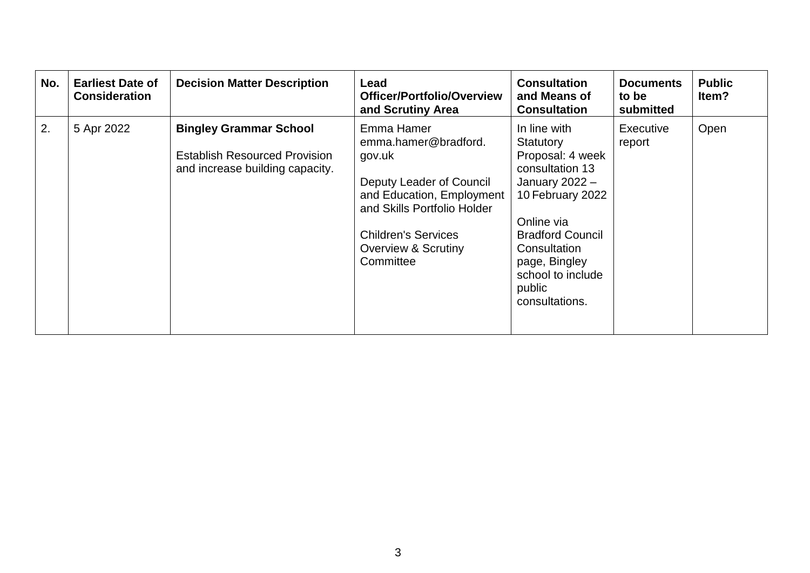| No. | <b>Earliest Date of</b><br><b>Consideration</b> | <b>Decision Matter Description</b>                                                                       | Lead<br><b>Officer/Portfolio/Overview</b><br>and Scrutiny Area                                                                                                                                                    | <b>Consultation</b><br>and Means of<br><b>Consultation</b>                                                                                                                                                                          | <b>Documents</b><br>to be<br>submitted | <b>Public</b><br>ltem? |
|-----|-------------------------------------------------|----------------------------------------------------------------------------------------------------------|-------------------------------------------------------------------------------------------------------------------------------------------------------------------------------------------------------------------|-------------------------------------------------------------------------------------------------------------------------------------------------------------------------------------------------------------------------------------|----------------------------------------|------------------------|
| 2.  | 5 Apr 2022                                      | <b>Bingley Grammar School</b><br><b>Establish Resourced Provision</b><br>and increase building capacity. | Emma Hamer<br>emma.hamer@bradford.<br>gov.uk<br>Deputy Leader of Council<br>and Education, Employment<br>and Skills Portfolio Holder<br><b>Children's Services</b><br><b>Overview &amp; Scrutiny</b><br>Committee | In line with<br>Statutory<br>Proposal: 4 week<br>consultation 13<br>January $2022 -$<br>10 February 2022<br>Online via<br><b>Bradford Council</b><br>Consultation<br>page, Bingley<br>school to include<br>public<br>consultations. | <b>Executive</b><br>report             | Open                   |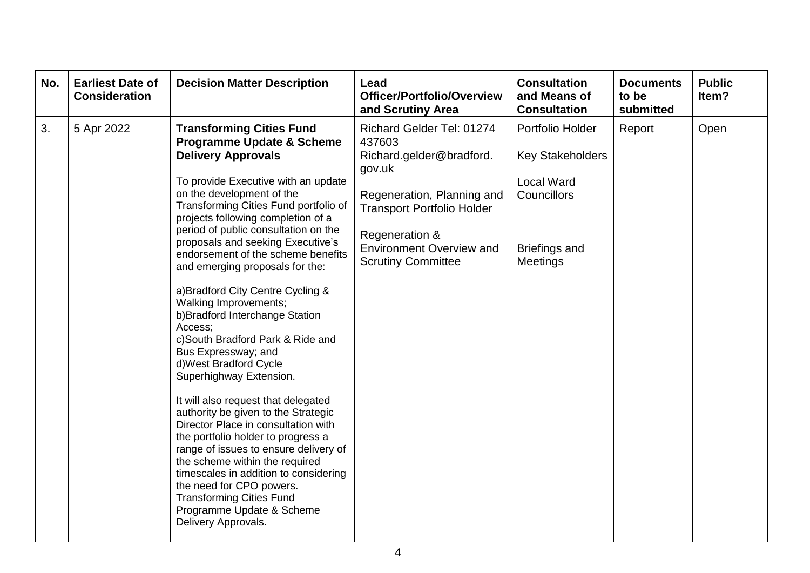| No. | <b>Earliest Date of</b><br><b>Consideration</b> | <b>Decision Matter Description</b>                                                                                                                                                                                                                                                                                                                                                                                                                                                                                                                                                                                                                                                                                                                                                                                                                                                                                                                                                                                                          | Lead<br><b>Officer/Portfolio/Overview</b><br>and Scrutiny Area                                                                                                                                                                 | <b>Consultation</b><br>and Means of<br><b>Consultation</b>                                                                 | <b>Documents</b><br>to be<br>submitted | <b>Public</b><br>Item? |
|-----|-------------------------------------------------|---------------------------------------------------------------------------------------------------------------------------------------------------------------------------------------------------------------------------------------------------------------------------------------------------------------------------------------------------------------------------------------------------------------------------------------------------------------------------------------------------------------------------------------------------------------------------------------------------------------------------------------------------------------------------------------------------------------------------------------------------------------------------------------------------------------------------------------------------------------------------------------------------------------------------------------------------------------------------------------------------------------------------------------------|--------------------------------------------------------------------------------------------------------------------------------------------------------------------------------------------------------------------------------|----------------------------------------------------------------------------------------------------------------------------|----------------------------------------|------------------------|
| 3.  | 5 Apr 2022                                      | <b>Transforming Cities Fund</b><br><b>Programme Update &amp; Scheme</b><br><b>Delivery Approvals</b><br>To provide Executive with an update<br>on the development of the<br>Transforming Cities Fund portfolio of<br>projects following completion of a<br>period of public consultation on the<br>proposals and seeking Executive's<br>endorsement of the scheme benefits<br>and emerging proposals for the:<br>a) Bradford City Centre Cycling &<br>Walking Improvements;<br>b) Bradford Interchange Station<br>Access;<br>c)South Bradford Park & Ride and<br>Bus Expressway; and<br>d) West Bradford Cycle<br>Superhighway Extension.<br>It will also request that delegated<br>authority be given to the Strategic<br>Director Place in consultation with<br>the portfolio holder to progress a<br>range of issues to ensure delivery of<br>the scheme within the required<br>timescales in addition to considering<br>the need for CPO powers.<br><b>Transforming Cities Fund</b><br>Programme Update & Scheme<br>Delivery Approvals. | Richard Gelder Tel: 01274<br>437603<br>Richard.gelder@bradford.<br>gov.uk<br>Regeneration, Planning and<br><b>Transport Portfolio Holder</b><br>Regeneration &<br><b>Environment Overview and</b><br><b>Scrutiny Committee</b> | Portfolio Holder<br><b>Key Stakeholders</b><br><b>Local Ward</b><br>Councillors<br><b>Briefings and</b><br><b>Meetings</b> | Report                                 | Open                   |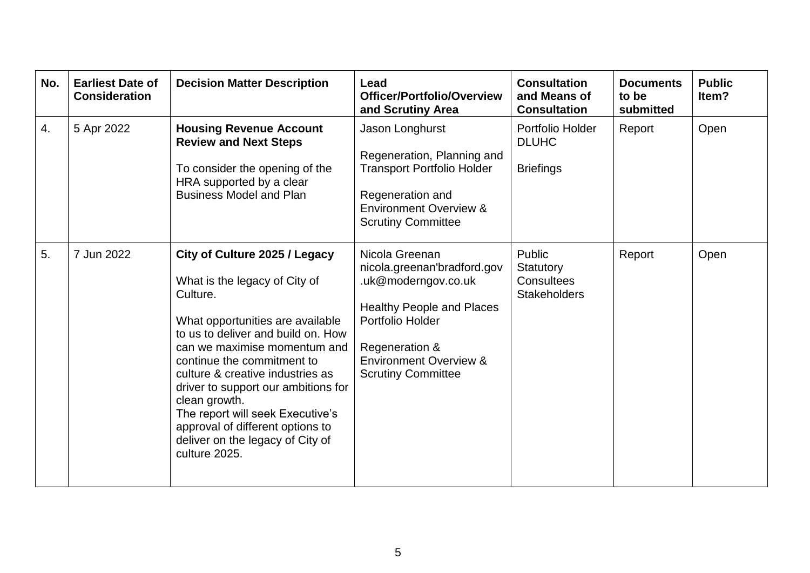| No. | <b>Earliest Date of</b><br><b>Consideration</b> | <b>Decision Matter Description</b>                                                                                                                                                                                                                                                                                                                                                                                                          | Lead<br>Officer/Portfolio/Overview<br>and Scrutiny Area                                                                                                                                                          | <b>Consultation</b><br>and Means of<br><b>Consultation</b> | <b>Documents</b><br>to be<br>submitted | <b>Public</b><br>Item? |
|-----|-------------------------------------------------|---------------------------------------------------------------------------------------------------------------------------------------------------------------------------------------------------------------------------------------------------------------------------------------------------------------------------------------------------------------------------------------------------------------------------------------------|------------------------------------------------------------------------------------------------------------------------------------------------------------------------------------------------------------------|------------------------------------------------------------|----------------------------------------|------------------------|
| 4.  | 5 Apr 2022                                      | <b>Housing Revenue Account</b><br><b>Review and Next Steps</b><br>To consider the opening of the<br>HRA supported by a clear<br><b>Business Model and Plan</b>                                                                                                                                                                                                                                                                              | Jason Longhurst<br>Regeneration, Planning and<br><b>Transport Portfolio Holder</b><br>Regeneration and<br><b>Environment Overview &amp;</b><br><b>Scrutiny Committee</b>                                         | Portfolio Holder<br><b>DLUHC</b><br><b>Briefings</b>       | Report                                 | Open                   |
| 5.  | 7 Jun 2022                                      | City of Culture 2025 / Legacy<br>What is the legacy of City of<br>Culture.<br>What opportunities are available<br>to us to deliver and build on. How<br>can we maximise momentum and<br>continue the commitment to<br>culture & creative industries as<br>driver to support our ambitions for<br>clean growth.<br>The report will seek Executive's<br>approval of different options to<br>deliver on the legacy of City of<br>culture 2025. | Nicola Greenan<br>nicola.greenan'bradford.gov<br>.uk@moderngov.co.uk<br><b>Healthy People and Places</b><br>Portfolio Holder<br>Regeneration &<br><b>Environment Overview &amp;</b><br><b>Scrutiny Committee</b> | Public<br>Statutory<br>Consultees<br><b>Stakeholders</b>   | Report                                 | Open                   |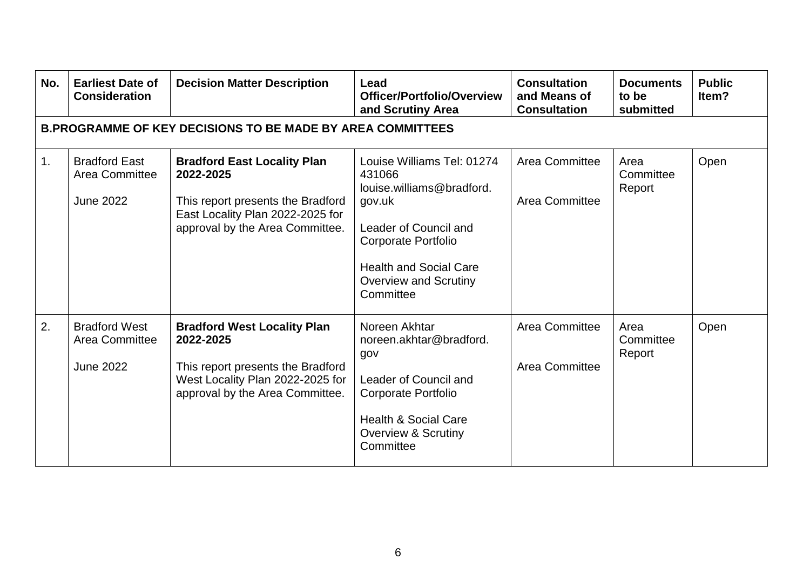| No. | <b>Earliest Date of</b><br><b>Consideration</b>                   | <b>Decision Matter Description</b>                                                                                                                          | Lead<br>Officer/Portfolio/Overview<br>and Scrutiny Area                                                                                                                                                          | <b>Consultation</b><br>and Means of<br><b>Consultation</b> | <b>Documents</b><br>to be<br>submitted | <b>Public</b><br>Item? |  |  |  |
|-----|-------------------------------------------------------------------|-------------------------------------------------------------------------------------------------------------------------------------------------------------|------------------------------------------------------------------------------------------------------------------------------------------------------------------------------------------------------------------|------------------------------------------------------------|----------------------------------------|------------------------|--|--|--|
|     | <b>B.PROGRAMME OF KEY DECISIONS TO BE MADE BY AREA COMMITTEES</b> |                                                                                                                                                             |                                                                                                                                                                                                                  |                                                            |                                        |                        |  |  |  |
| 1.  | <b>Bradford East</b><br>Area Committee<br><b>June 2022</b>        | <b>Bradford East Locality Plan</b><br>2022-2025<br>This report presents the Bradford<br>East Locality Plan 2022-2025 for<br>approval by the Area Committee. | Louise Williams Tel: 01274<br>431066<br>louise.williams@bradford.<br>gov.uk<br>Leader of Council and<br><b>Corporate Portfolio</b><br><b>Health and Social Care</b><br><b>Overview and Scrutiny</b><br>Committee | Area Committee<br>Area Committee                           | Area<br>Committee<br>Report            | Open                   |  |  |  |
| 2.  | <b>Bradford West</b><br>Area Committee<br><b>June 2022</b>        | <b>Bradford West Locality Plan</b><br>2022-2025<br>This report presents the Bradford<br>West Locality Plan 2022-2025 for<br>approval by the Area Committee. | Noreen Akhtar<br>noreen.akhtar@bradford.<br>gov<br>Leader of Council and<br><b>Corporate Portfolio</b><br><b>Health &amp; Social Care</b><br><b>Overview &amp; Scrutiny</b><br>Committee                         | <b>Area Committee</b><br><b>Area Committee</b>             | Area<br>Committee<br>Report            | Open                   |  |  |  |